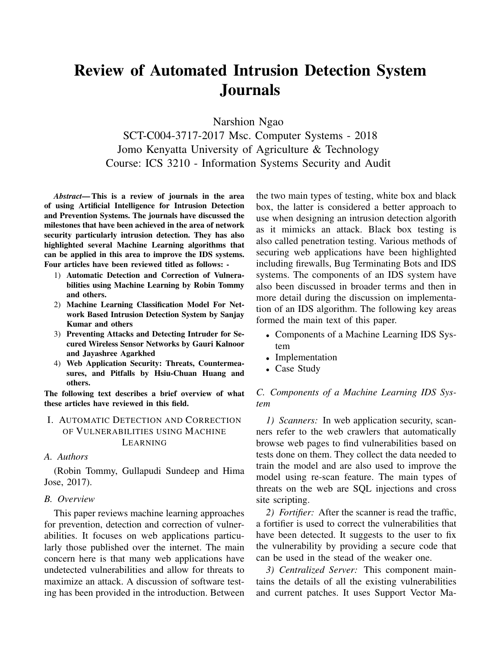# Review of Automated Intrusion Detection System Journals

Narshion Ngao

SCT-C004-3717-2017 Msc. Computer Systems - 2018 Jomo Kenyatta University of Agriculture & Technology Course: ICS 3210 - Information Systems Security and Audit

*Abstract*— This is a review of journals in the area of using Artificial Intelligence for Intrusion Detection and Prevention Systems. The journals have discussed the milestones that have been achieved in the area of network security particularly intrusion detection. They has also highlighted several Machine Learning algorithms that can be applied in this area to improve the IDS systems. Four articles have been reviewed titled as follows: -

- 1) Automatic Detection and Correction of Vulnerabilities using Machine Learning by Robin Tommy and others.
- 2) Machine Learning Classification Model For Network Based Intrusion Detection System by Sanjay Kumar and others
- 3) Preventing Attacks and Detecting Intruder for Secured Wireless Sensor Networks by Gauri Kalnoor and Jayashree Agarkhed
- 4) Web Application Security: Threats, Countermeasures, and Pitfalls by Hsiu-Chuan Huang and others.

The following text describes a brief overview of what these articles have reviewed in this field.

## I. AUTOMATIC DETECTION AND CORRECTION OF VULNERABILITIES USING MACHINE LEARNING

#### *A. Authors*

(Robin Tommy, Gullapudi Sundeep and Hima Jose, 2017).

#### *B. Overview*

This paper reviews machine learning approaches for prevention, detection and correction of vulnerabilities. It focuses on web applications particularly those published over the internet. The main concern here is that many web applications have undetected vulnerabilities and allow for threats to maximize an attack. A discussion of software testing has been provided in the introduction. Between the two main types of testing, white box and black box, the latter is considered a better approach to use when designing an intrusion detection algorith as it mimicks an attack. Black box testing is also called penetration testing. Various methods of securing web applications have been highlighted including firewalls, Bug Terminating Bots and IDS systems. The components of an IDS system have also been discussed in broader terms and then in more detail during the discussion on implementation of an IDS algorithm. The following key areas formed the main text of this paper.

- Components of a Machine Learning IDS System
- Implementation
- Case Study

*C. Components of a Machine Learning IDS System*

*1) Scanners:* In web application security, scanners refer to the web crawlers that automatically browse web pages to find vulnerabilities based on tests done on them. They collect the data needed to train the model and are also used to improve the model using re-scan feature. The main types of threats on the web are SQL injections and cross site scripting.

*2) Fortifier:* After the scanner is read the traffic, a fortifier is used to correct the vulnerabilities that have been detected. It suggests to the user to fix the vulnerability by providing a secure code that can be used in the stead of the weaker one.

*3) Centralized Server:* This component maintains the details of all the existing vulnerabilities and current patches. It uses Support Vector Ma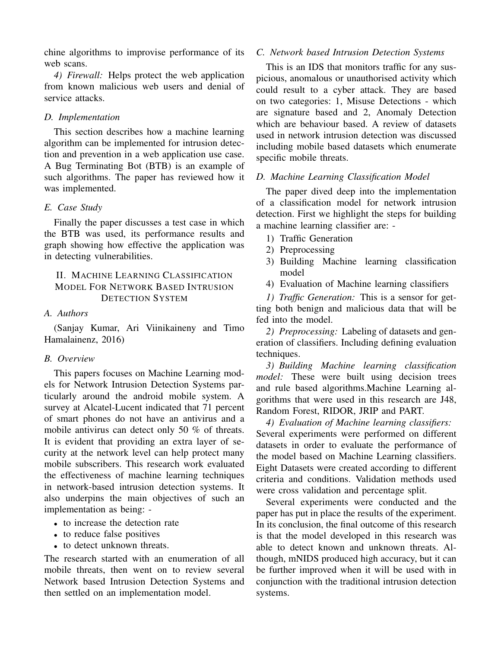chine algorithms to improvise performance of its web scans.

*4) Firewall:* Helps protect the web application from known malicious web users and denial of service attacks.

# *D. Implementation*

This section describes how a machine learning algorithm can be implemented for intrusion detection and prevention in a web application use case. A Bug Terminating Bot (BTB) is an example of such algorithms. The paper has reviewed how it was implemented.

# *E. Case Study*

Finally the paper discusses a test case in which the BTB was used, its performance results and graph showing how effective the application was in detecting vulnerabilities.

# II. MACHINE LEARNING CLASSIFICATION MODEL FOR NETWORK BASED INTRUSION DETECTION SYSTEM

# *A. Authors*

(Sanjay Kumar, Ari Viinikaineny and Timo Hamalainenz, 2016)

# *B. Overview*

This papers focuses on Machine Learning models for Network Intrusion Detection Systems particularly around the android mobile system. A survey at Alcatel-Lucent indicated that 71 percent of smart phones do not have an antivirus and a mobile antivirus can detect only 50 % of threats. It is evident that providing an extra layer of security at the network level can help protect many mobile subscribers. This research work evaluated the effectiveness of machine learning techniques in network-based intrusion detection systems. It also underpins the main objectives of such an implementation as being: -

- to increase the detection rate
- to reduce false positives
- to detect unknown threats.

The research started with an enumeration of all mobile threats, then went on to review several Network based Intrusion Detection Systems and then settled on an implementation model.

# *C. Network based Intrusion Detection Systems*

This is an IDS that monitors traffic for any suspicious, anomalous or unauthorised activity which could result to a cyber attack. They are based on two categories: 1, Misuse Detections - which are signature based and 2, Anomaly Detection which are behaviour based. A review of datasets used in network intrusion detection was discussed including mobile based datasets which enumerate specific mobile threats.

# *D. Machine Learning Classification Model*

The paper dived deep into the implementation of a classification model for network intrusion detection. First we highlight the steps for building a machine learning classifier are: -

- 1) Traffic Generation
- 2) Preprocessing
- 3) Building Machine learning classification model
- 4) Evaluation of Machine learning classifiers

*1) Traffic Generation:* This is a sensor for getting both benign and malicious data that will be fed into the model.

*2) Preprocessing:* Labeling of datasets and generation of classifiers. Including defining evaluation techniques.

*3) Building Machine learning classification model:* These were built using decision trees and rule based algorithms.Machine Learning algorithms that were used in this research are J48, Random Forest, RIDOR, JRIP and PART.

*4) Evaluation of Machine learning classifiers:* Several experiments were performed on different datasets in order to evaluate the performance of the model based on Machine Learning classifiers. Eight Datasets were created according to different criteria and conditions. Validation methods used were cross validation and percentage split.

Several experiments were conducted and the paper has put in place the results of the experiment. In its conclusion, the final outcome of this research is that the model developed in this research was able to detect known and unknown threats. Although, mNIDS produced high accuracy, but it can be further improved when it will be used with in conjunction with the traditional intrusion detection systems.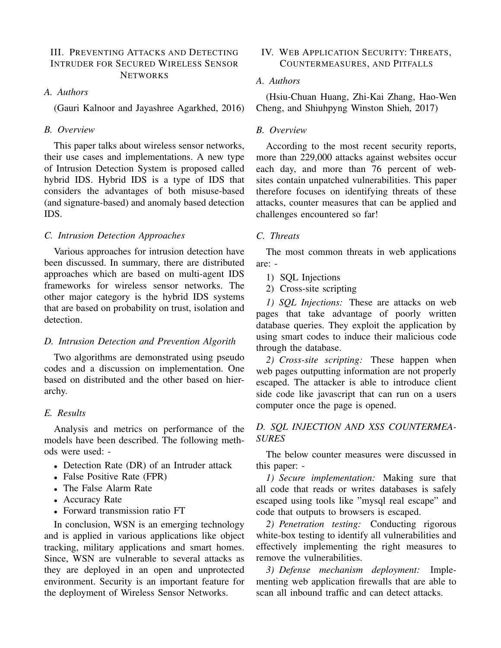#### III. PREVENTING ATTACKS AND DETECTING INTRUDER FOR SECURED WIRELESS SENSOR **NETWORKS**

## *A. Authors*

(Gauri Kalnoor and Jayashree Agarkhed, 2016)

## *B. Overview*

This paper talks about wireless sensor networks, their use cases and implementations. A new type of Intrusion Detection System is proposed called hybrid IDS. Hybrid IDS is a type of IDS that considers the advantages of both misuse-based (and signature-based) and anomaly based detection IDS.

#### *C. Intrusion Detection Approaches*

Various approaches for intrusion detection have been discussed. In summary, there are distributed approaches which are based on multi-agent IDS frameworks for wireless sensor networks. The other major category is the hybrid IDS systems that are based on probability on trust, isolation and detection.

#### *D. Intrusion Detection and Prevention Algorith*

Two algorithms are demonstrated using pseudo codes and a discussion on implementation. One based on distributed and the other based on hierarchy.

#### *E. Results*

Analysis and metrics on performance of the models have been described. The following methods were used: -

- Detection Rate (DR) of an Intruder attack
- False Positive Rate (FPR)
- The False Alarm Rate
- Accuracy Rate
- Forward transmission ratio FT

In conclusion, WSN is an emerging technology and is applied in various applications like object tracking, military applications and smart homes. Since, WSN are vulnerable to several attacks as they are deployed in an open and unprotected environment. Security is an important feature for the deployment of Wireless Sensor Networks.

## IV. WEB APPLICATION SECURITY: THREATS, COUNTERMEASURES, AND PITFALLS

### *A. Authors*

(Hsiu-Chuan Huang, Zhi-Kai Zhang, Hao-Wen Cheng, and Shiuhpyng Winston Shieh, 2017)

### *B. Overview*

According to the most recent security reports, more than 229,000 attacks against websites occur each day, and more than 76 percent of websites contain unpatched vulnerabilities. This paper therefore focuses on identifying threats of these attacks, counter measures that can be applied and challenges encountered so far!

#### *C. Threats*

The most common threats in web applications are: -

- 1) SQL Injections
- 2) Cross-site scripting

*1) SQL Injections:* These are attacks on web pages that take advantage of poorly written database queries. They exploit the application by using smart codes to induce their malicious code through the database.

*2) Cross-site scripting:* These happen when web pages outputting information are not properly escaped. The attacker is able to introduce client side code like javascript that can run on a users computer once the page is opened.

## *D. SQL INJECTION AND XSS COUNTERMEA-SURES*

The below counter measures were discussed in this paper: -

*1) Secure implementation:* Making sure that all code that reads or writes databases is safely escaped using tools like "mysql real escape" and code that outputs to browsers is escaped.

*2) Penetration testing:* Conducting rigorous white-box testing to identify all vulnerabilities and effectively implementing the right measures to remove the vulnerabilities.

*3) Defense mechanism deployment:* Implementing web application firewalls that are able to scan all inbound traffic and can detect attacks.